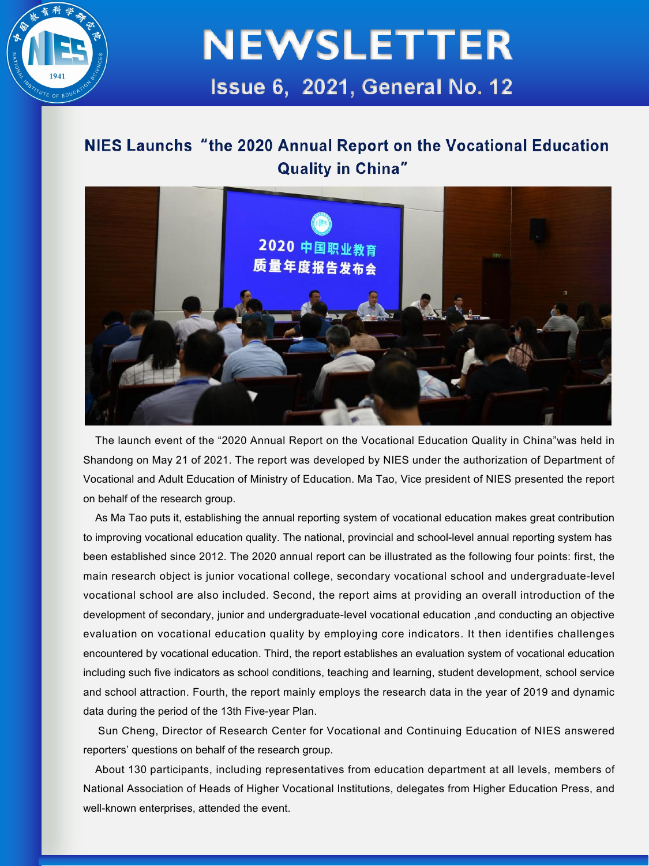

#### NIES Launchs "the 2020 Annual Report on the Vocational Education **Quality in China"**



The launch event of the "2020 Annual Report on the Vocational Education Quality in China"was held in Shandong on May 21 of 2021. The report was developed by NIES under the authorization of Department of Vocational and Adult Education of Ministry of Education. Ma Tao, Vice president of NIES presented the report on behalf of the research group.

As Ma Tao puts it, establishing the annual reporting system of vocational education makes great contribution to improving vocational education quality. The national, provincial and school-level annual reporting system has been established since 2012. The 2020 annual report can be illustrated as the following four points: first, the main research object is junior vocational college, secondary vocational school and undergraduate-level vocational school are also included. Second, the report aims at providing an overall introduction of the development of secondary, junior and undergraduate-level vocational education ,and conducting an objective evaluation on vocational education quality by employing core indicators. It then identifies challenges encountered by vocational education. Third, the report establishes an evaluation system of vocational education including such five indicators as school conditions, teaching and learning, student development, school service and school attraction. Fourth, the report mainly employs the research data in the yearof 2019 and dynamic data during the period of the 13th Five-year Plan.

Sun Cheng, Director of Research Center for Vocational and Continuing Education of NIES answered reporters' questions on behalf of the research group.

About 130 participants, including representatives from education department at all levels, members of National Association of Heads of Higher Vocational Institutions, delegates from Higher Education Press, and well-known enterprises, attended the event.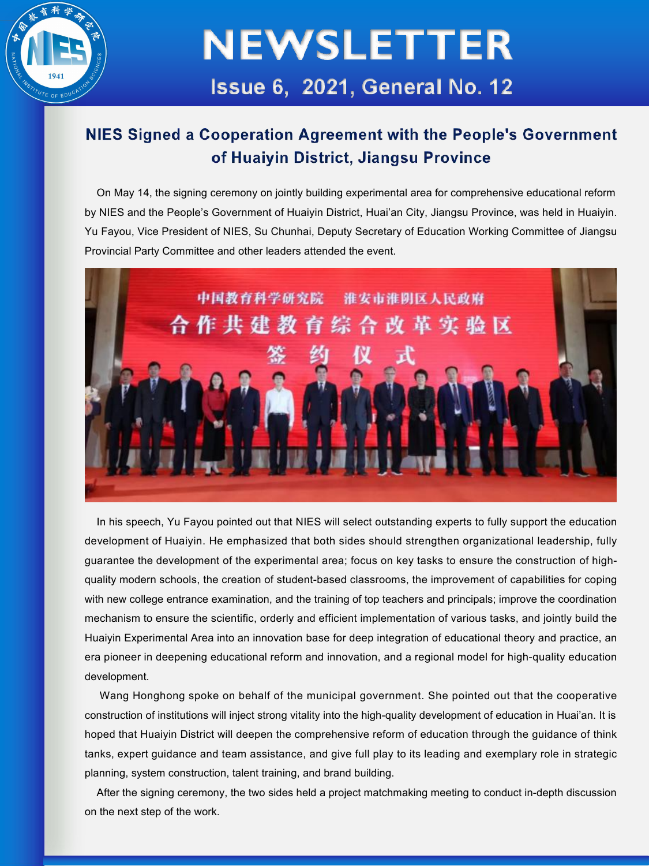

#### NIES Signed a Cooperation Agreement with the People's Government of Huaiyin District, Jiangsu Province

On May 14, the signing ceremony on jointly building experimental area for comprehensive educational reform by NIES and the People's Government of Huaiyin District, Huai'an City, Jiangsu Province, was held in Huaiyin. Yu Fayou, Vice President of NIES, Su Chunhai, Deputy Secretary of Education Working Committee of Jiangsu Provincial Party Committee and other leaders attended the event.



In his speech, Yu Fayou pointed out that NIES will select outstanding experts to fully support the education development of Huaiyin. He emphasized that both sides should strengthen organizational leadership, fully guarantee the development of the experimentalarea; focus on key tasks to ensure the construction of high quality modern schools, the creation of student-based classrooms, the improvement of capabilities for coping with new college entrance examination, and the training of top teachers and principals; improve the coordination mechanism to ensure the scientific, orderly and efficient implementation of various tasks, and jointly build the Huaiyin Experimental Area into an innovation base for deep integration of educational theory and practice, an era pioneer in deepening educational reform and innovation, and a regional model for high-quality education development.

Wang Honghong spoke on behalf of the municipal government. She pointed out that the cooperative construction of institutions will inject strong vitality into the high-quality development of education in Huai'an. It is hoped that Huaiyin District will deepen the comprehensive reform of education through the guidance of think tanks, expert guidance and team assistance, and give full play to its leading and exemplary role in strategic planning, system construction, talent training, and brand building.

After the signing ceremony, the two sides held a project matchmaking meeting to conduct in-depth discussion on the next step of the work.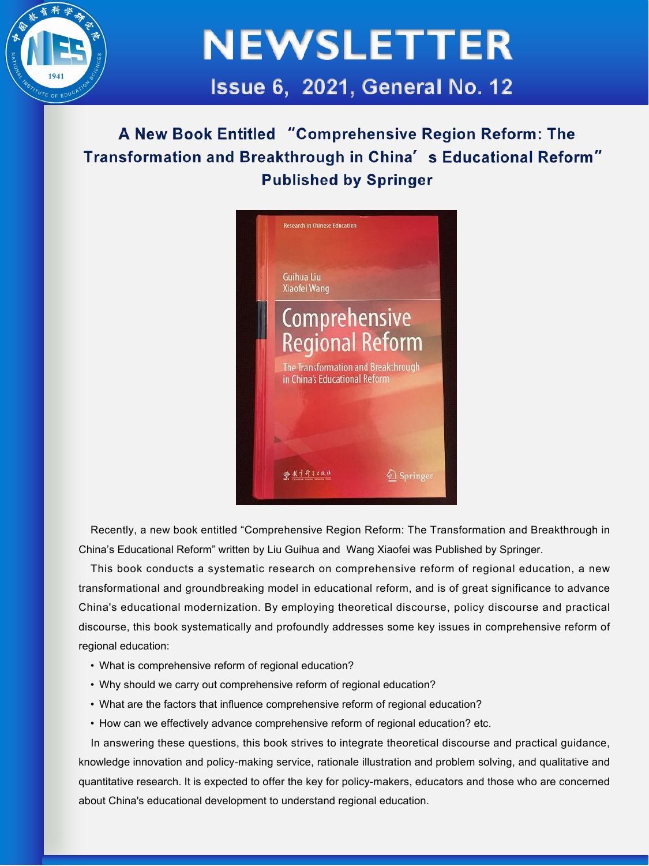

A New Book Entitled "Comprehensive Region Reform: The Transformation and Breakthrough in China's Educational Reform" **Published by Springer** 



Recently, a new book entitled "Comprehensive Region Reform: The Transformation and Breakthrough in China's Educational Reform" written by Liu Guihua and Wang Xiaofei was Published by Springer.

This book conducts a systematic research on comprehensive reform of regional education, a new transformational and groundbreaking model in educational reform, and is of great significance to advance China's educational modernization. By employing theoretical discourse, policy discourse and practical discourse, this book systematically and profoundly addresses some key issues in comprehensive reform of regional education:

- What is comprehensive reform of regional education?
- Why should we carry out comprehensive reform of regional education?
- What are the factors that influence comprehensive reform of regional education?
- How can we effectively advance comprehensive reform of regional education? etc.

In answering these questions, this book strives to integrate theoretical discourse and practical guidance, knowledge innovation and policy-making service, rationale illustration and problem solving, and qualitative and quantitative research. Itis expected to offer the key for policy-makers, educators and those who are concerned about China's educational development to understand regional education.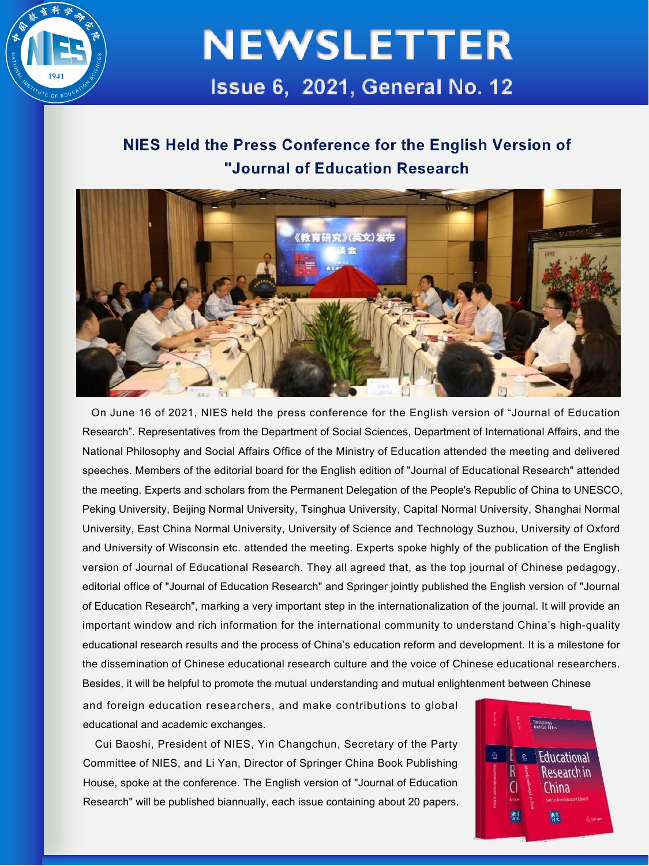

### NIES Held the Press Conference for the English Version of "Journal of Education Research



On June 16 of 2021, NIES held the press conference for the English version of "Journal of Education Research". Representatives from the Department of Social Sciences, Department of International Affairs, and the National Philosophy and Social Affairs Office of the Ministry of Education attended the meeting and delivered speeches. Members of the editorial board for the English edition of "Journal of Educational Research" attended the meeting. Experts and scholars from the Permanent Delegation of the People's Republic of China to UNESCO, Peking University, Beijing Normal University, Tsinghua University, Capital Normal University, Shanghai Normal University, East China Normal University, University of Science and Technology Suzhou, University of Oxford and University of Wisconsin etc. attended the meeting. Experts spoke highly of the publication of the English version of Journal of Educational Research. They all agreed that, as the top journal of Chinese pedagogy, editorial office of "Journal of Education Research" and Springer jointly published the English version of "Journal of Education Research", marking a very important step in the internationalization of the journal. It will provide an important window and rich information for the international community to understand China's high-quality educational research results and the process of China's education reform and development. It is a milestone for the dissemination of Chinese educational research culture and the voice of Chinese educational researchers. Besides, it will be helpful to promote the mutual understanding and mutual enlightenment between Chinese

and foreign education researchers, and make contributions to global educational and academic exchanges.

Cui Baoshi, President of NIES, Yin Changchun, Secretary of the Party Committee of NIES, and Li Yan, Director of Springer China Book Publishing House, spoke at the conference. The English version of "Journal of Education Research" will be published biannually, each issue containing about 20 papers.

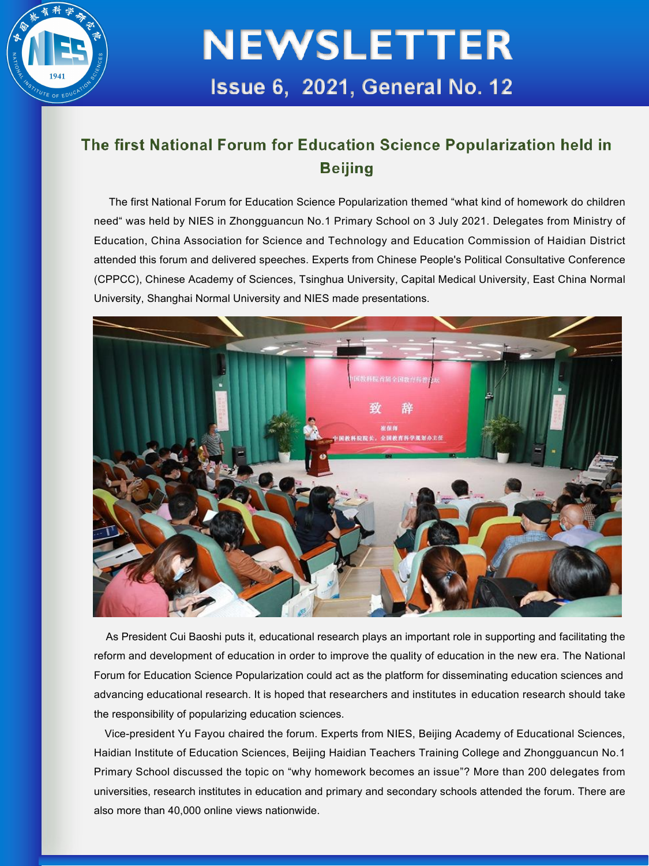

#### The first National Forum for Education Science Popularization held in **Beiling**

The first National Forum for Education Science Popularization themed "what kind of homework do children need" was held by NIES in Zhongguancun No.1 Primary School on 3 July 2021. Delegates from Ministry of Education, China Association for Science and Technology and Education Commission of Haidian District attended this forum and delivered speeches. Experts from Chinese People's Political Consultative Conference (CPPCC), Chinese Academy of Sciences, Tsinghua University, Capital Medical University, East China Normal University, Shanghai Normal University and NIES made presentations.



As President Cui Baoshi puts it, educational research plays an important role in supporting and facilitating the reform and development of education in order to improve the quality of education in the new era. The National Forum for Education Science Popularization could act as the platform for disseminating education sciences and advancing educational research. It is hoped that researchers and institutes in education research should take the responsibility of popularizing education sciences.

Vice-president Yu Fayou chaired the forum. Experts from NIES, Beijing Academy of Educational Sciences, Haidian Institute of Education Sciences, Beijing Haidian Teachers Training College and Zhongguancun No.1 Primary School discussed the topic on "why homework becomes an issue"? More than 200 delegates from universities, research institutes in education and primary and secondary schools attended the forum. There are also more than 40,000 online views nationwide.